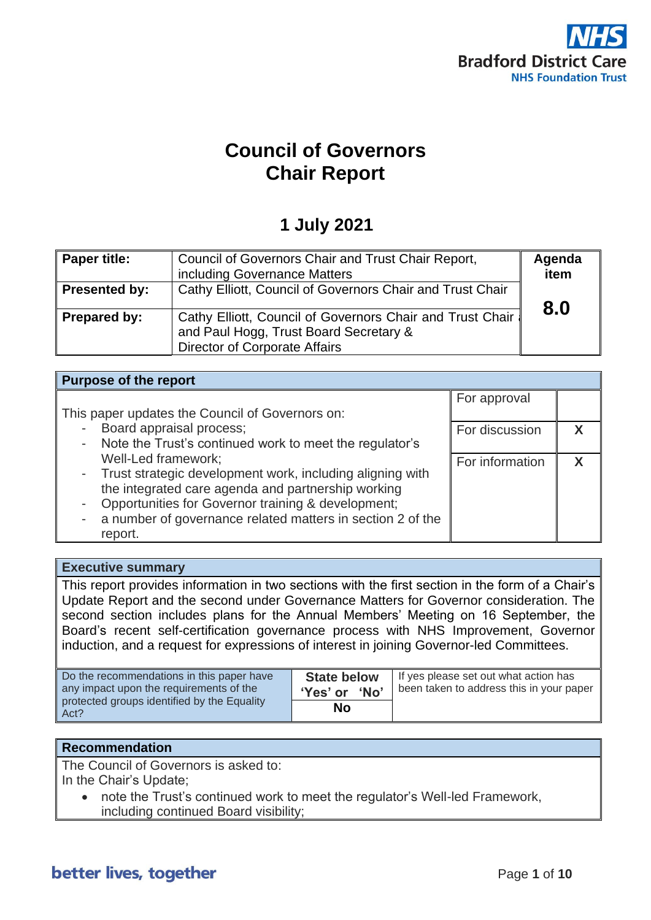

# **Council of Governors Chair Report**

# **1 July 2021**

| <b>Paper title:</b>  | Council of Governors Chair and Trust Chair Report,<br>including Governance Matters                                                          | Agenda<br>item |
|----------------------|---------------------------------------------------------------------------------------------------------------------------------------------|----------------|
| <b>Presented by:</b> | Cathy Elliott, Council of Governors Chair and Trust Chair                                                                                   | 8.0            |
| <b>Prepared by:</b>  | Cathy Elliott, Council of Governors Chair and Trust Chair<br>and Paul Hogg, Trust Board Secretary &<br><b>Director of Corporate Affairs</b> |                |

| <b>Purpose of the report</b>                                                   |                 |  |
|--------------------------------------------------------------------------------|-----------------|--|
|                                                                                | For approval    |  |
| This paper updates the Council of Governors on:                                |                 |  |
| Board appraisal process;<br>$\sim$                                             | For discussion  |  |
| Note the Trust's continued work to meet the regulator's<br>۰                   |                 |  |
| Well-Led framework;                                                            | For information |  |
| - Trust strategic development work, including aligning with                    |                 |  |
| the integrated care agenda and partnership working                             |                 |  |
| Opportunities for Governor training & development;<br>$\overline{\phantom{a}}$ |                 |  |
| a number of governance related matters in section 2 of the                     |                 |  |
| report.                                                                        |                 |  |

#### **Executive summary**

This report provides information in two sections with the first section in the form of a Chair's Update Report and the second under Governance Matters for Governor consideration. The second section includes plans for the Annual Members' Meeting on 16 September, the Board's recent self-certification governance process with NHS Improvement, Governor induction, and a request for expressions of interest in joining Governor-led Committees.

| Do the recommendations in this paper have<br>any impact upon the requirements of the | <b>State below</b><br>'Yes' or<br><b>No</b> | If yes please set out what action has<br>been taken to address this in your paper |
|--------------------------------------------------------------------------------------|---------------------------------------------|-----------------------------------------------------------------------------------|
| protected groups identified by the Equality<br>Act?                                  | No                                          |                                                                                   |

## **Recommendation**

The Council of Governors is asked to:

In the Chair's Update;

• note the Trust's continued work to meet the regulator's Well-led Framework, including continued Board visibility;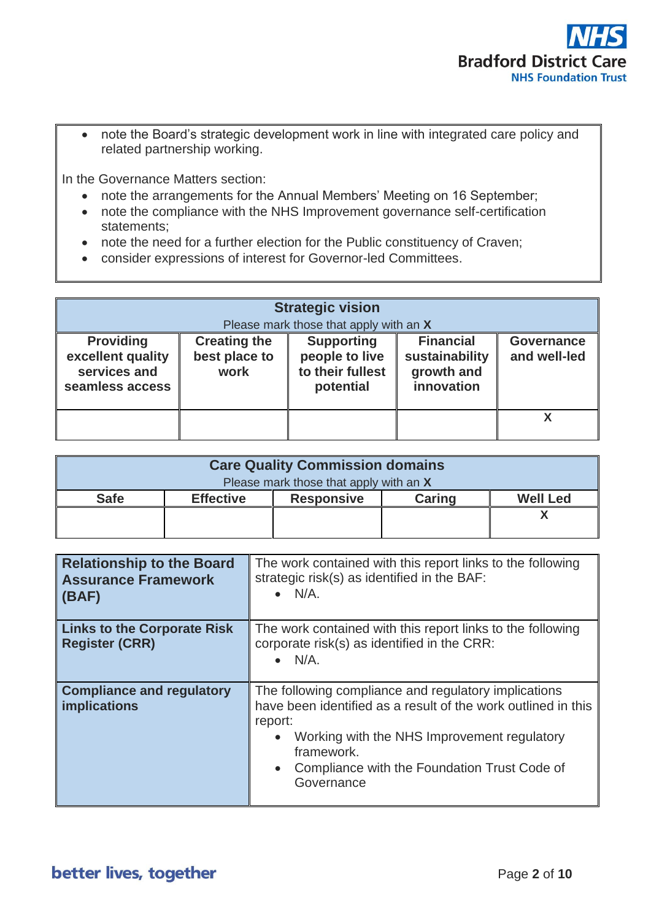

• note the Board's strategic development work in line with integrated care policy and related partnership working.

In the Governance Matters section:

- note the arrangements for the Annual Members' Meeting on 16 September;
- note the compliance with the NHS Improvement governance self-certification statements;
- note the need for a further election for the Public constituency of Craven;
- consider expressions of interest for Governor-led Committees.

| <b>Strategic vision</b><br>Please mark those that apply with an X        |                                              |                                                                      |                                                                |                                   |
|--------------------------------------------------------------------------|----------------------------------------------|----------------------------------------------------------------------|----------------------------------------------------------------|-----------------------------------|
| <b>Providing</b><br>excellent quality<br>services and<br>seamless access | <b>Creating the</b><br>best place to<br>work | <b>Supporting</b><br>people to live<br>to their fullest<br>potential | <b>Financial</b><br>sustainability<br>growth and<br>innovation | <b>Governance</b><br>and well-led |
|                                                                          |                                              |                                                                      |                                                                |                                   |

| <b>Care Quality Commission domains</b> |                  |                   |               |                 |
|----------------------------------------|------------------|-------------------|---------------|-----------------|
| Please mark those that apply with an X |                  |                   |               |                 |
| <b>Safe</b>                            | <b>Effective</b> | <b>Responsive</b> | <b>Caring</b> | <b>Well Led</b> |
|                                        |                  |                   |               |                 |
|                                        |                  |                   |               |                 |

| <b>Relationship to the Board</b><br><b>Assurance Framework</b><br>(BAF) | The work contained with this report links to the following<br>strategic risk(s) as identified in the BAF:<br>$\bullet$ N/A.                                                                                                                                              |
|-------------------------------------------------------------------------|--------------------------------------------------------------------------------------------------------------------------------------------------------------------------------------------------------------------------------------------------------------------------|
| <b>Links to the Corporate Risk</b><br><b>Register (CRR)</b>             | The work contained with this report links to the following<br>corporate risk(s) as identified in the CRR:<br>$\bullet$ N/A.                                                                                                                                              |
| <b>Compliance and regulatory</b><br><b>implications</b>                 | The following compliance and regulatory implications<br>have been identified as a result of the work outlined in this<br>report:<br>Working with the NHS Improvement regulatory<br>framework.<br>Compliance with the Foundation Trust Code of<br>$\bullet$<br>Governance |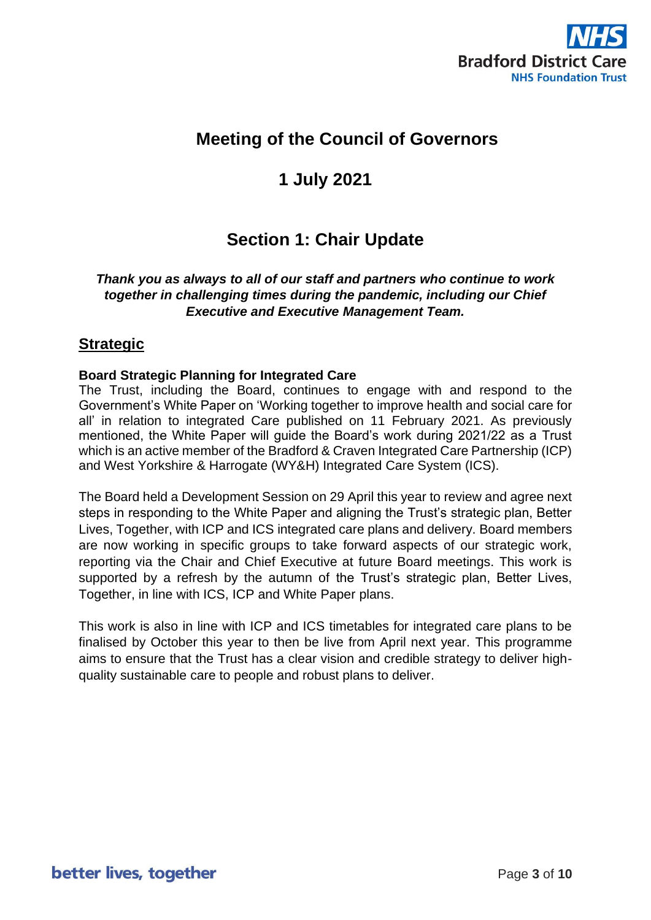

# **Meeting of the Council of Governors**

# **1 July 2021**

# **Section 1: Chair Update**

## *Thank you as always to all of our staff and partners who continue to work together in challenging times during the pandemic, including our Chief Executive and Executive Management Team.*

## **Strategic**

### **Board Strategic Planning for Integrated Care**

The Trust, including the Board, continues to engage with and respond to the Government's White Paper on 'Working together to improve health and social care for all' in relation to integrated Care published on 11 February 2021. As previously mentioned, the White Paper will guide the Board's work during 2021/22 as a Trust which is an active member of the Bradford & Craven Integrated Care Partnership (ICP) and West Yorkshire & Harrogate (WY&H) Integrated Care System (ICS).

The Board held a Development Session on 29 April this year to review and agree next steps in responding to the White Paper and aligning the Trust's strategic plan, Better Lives, Together, with ICP and ICS integrated care plans and delivery. Board members are now working in specific groups to take forward aspects of our strategic work, reporting via the Chair and Chief Executive at future Board meetings. This work is supported by a refresh by the autumn of the Trust's strategic plan, Better Lives, Together, in line with ICS, ICP and White Paper plans.

This work is also in line with ICP and ICS timetables for integrated care plans to be finalised by October this year to then be live from April next year. This programme aims to ensure that the Trust has a clear vision and credible strategy to deliver highquality sustainable care to people and robust plans to deliver.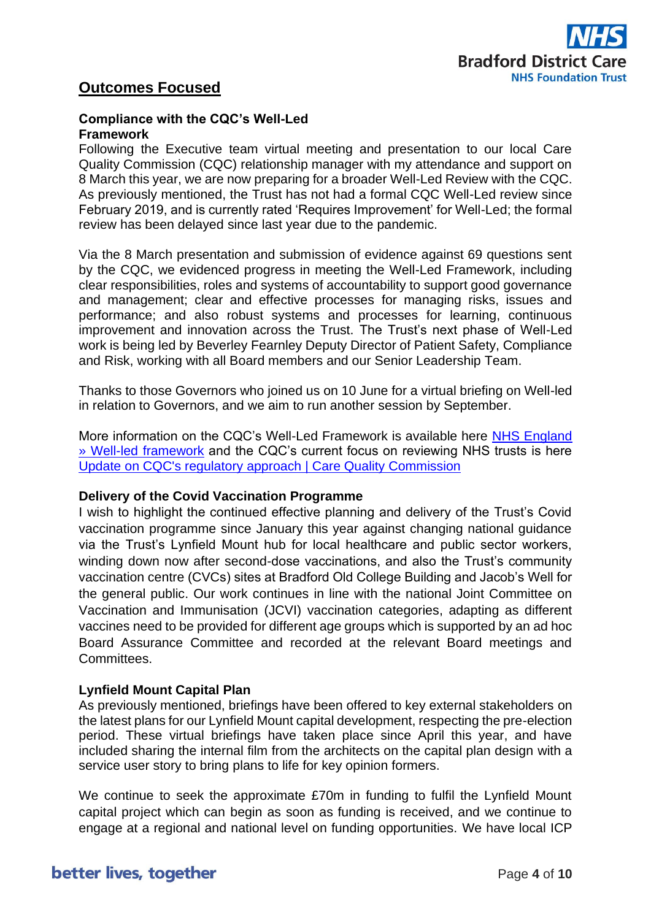

## **Outcomes Focused**

#### **Compliance with the CQC's Well-Led Framework**

Following the Executive team virtual meeting and presentation to our local Care Quality Commission (CQC) relationship manager with my attendance and support on 8 March this year, we are now preparing for a broader Well-Led Review with the CQC. As previously mentioned, the Trust has not had a formal CQC Well-Led review since February 2019, and is currently rated 'Requires Improvement' for Well-Led; the formal review has been delayed since last year due to the pandemic.

Via the 8 March presentation and submission of evidence against 69 questions sent by the CQC, we evidenced progress in meeting the Well-Led Framework, including clear responsibilities, roles and systems of accountability to support good governance and management; clear and effective processes for managing risks, issues and performance; and also robust systems and processes for learning, continuous improvement and innovation across the Trust. The Trust's next phase of Well-Led work is being led by Beverley Fearnley Deputy Director of Patient Safety, Compliance and Risk, working with all Board members and our Senior Leadership Team.

Thanks to those Governors who joined us on 10 June for a virtual briefing on Well-led in relation to Governors, and we aim to run another session by September.

More information on the CQC's Well-Led Framework is available here [NHS England](https://www.england.nhs.uk/well-led-framework/)  [» Well-led framework](https://www.england.nhs.uk/well-led-framework/) and the CQC's current focus on reviewing NHS trusts is here [Update on CQC's regulatory approach | Care Quality Commission](https://www.cqc.org.uk/news/stories/update-cqcs-regulatory-approach)

#### **Delivery of the Covid Vaccination Programme**

I wish to highlight the continued effective planning and delivery of the Trust's Covid vaccination programme since January this year against changing national guidance via the Trust's Lynfield Mount hub for local healthcare and public sector workers, winding down now after second-dose vaccinations, and also the Trust's community vaccination centre (CVCs) sites at Bradford Old College Building and Jacob's Well for the general public. Our work continues in line with the national Joint Committee on Vaccination and Immunisation (JCVI) vaccination categories, adapting as different vaccines need to be provided for different age groups which is supported by an ad hoc Board Assurance Committee and recorded at the relevant Board meetings and Committees.

### **Lynfield Mount Capital Plan**

As previously mentioned, briefings have been offered to key external stakeholders on the latest plans for our Lynfield Mount capital development, respecting the pre-election period. These virtual briefings have taken place since April this year, and have included sharing the internal film from the architects on the capital plan design with a service user story to bring plans to life for key opinion formers.

We continue to seek the approximate £70m in funding to fulfil the Lynfield Mount capital project which can begin as soon as funding is received, and we continue to engage at a regional and national level on funding opportunities. We have local ICP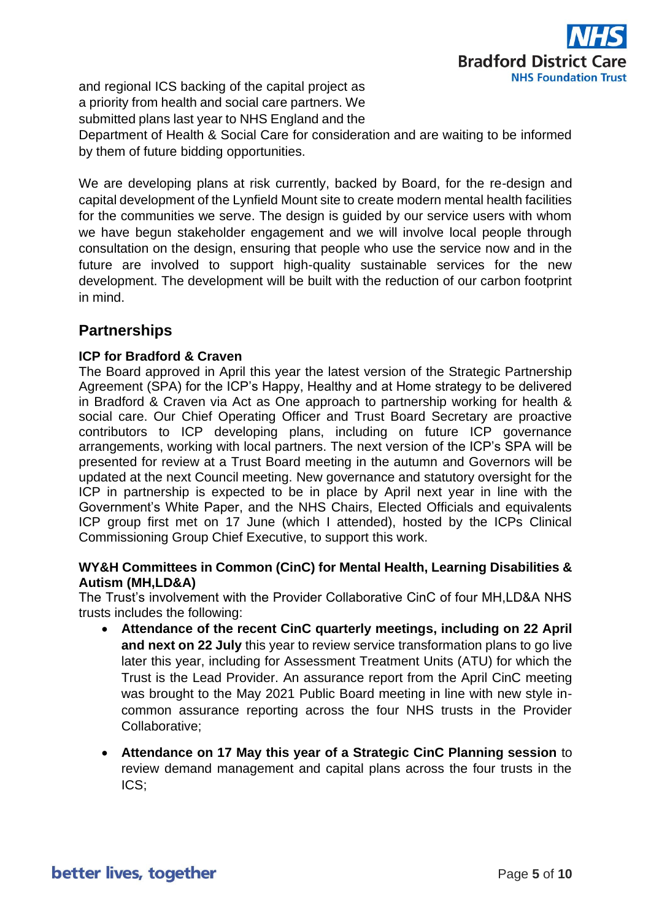

and regional ICS backing of the capital project as a priority from health and social care partners. We submitted plans last year to NHS England and the Department of Health & Social Care for consideration and are waiting to be informed by them of future bidding opportunities.

We are developing plans at risk currently, backed by Board, for the re-design and capital development of the Lynfield Mount site to create modern mental health facilities for the communities we serve. The design is guided by our service users with whom we have begun stakeholder engagement and we will involve local people through consultation on the design, ensuring that people who use the service now and in the future are involved to support high-quality sustainable services for the new development. The development will be built with the reduction of our carbon footprint in mind.

## **Partnerships**

### **ICP for Bradford & Craven**

The Board approved in April this year the latest version of the Strategic Partnership Agreement (SPA) for the ICP's Happy, Healthy and at Home strategy to be delivered in Bradford & Craven via Act as One approach to partnership working for health & social care. Our Chief Operating Officer and Trust Board Secretary are proactive contributors to ICP developing plans, including on future ICP governance arrangements, working with local partners. The next version of the ICP's SPA will be presented for review at a Trust Board meeting in the autumn and Governors will be updated at the next Council meeting. New governance and statutory oversight for the ICP in partnership is expected to be in place by April next year in line with the Government's White Paper, and the NHS Chairs, Elected Officials and equivalents ICP group first met on 17 June (which I attended), hosted by the ICPs Clinical Commissioning Group Chief Executive, to support this work.

### **WY&H Committees in Common (CinC) for Mental Health, Learning Disabilities & Autism (MH,LD&A)**

The Trust's involvement with the Provider Collaborative CinC of four MH,LD&A NHS trusts includes the following:

- **Attendance of the recent CinC quarterly meetings, including on 22 April and next on 22 July** this year to review service transformation plans to go live later this year, including for Assessment Treatment Units (ATU) for which the Trust is the Lead Provider. An assurance report from the April CinC meeting was brought to the May 2021 Public Board meeting in line with new style incommon assurance reporting across the four NHS trusts in the Provider Collaborative;
- **Attendance on 17 May this year of a Strategic CinC Planning session** to review demand management and capital plans across the four trusts in the ICS;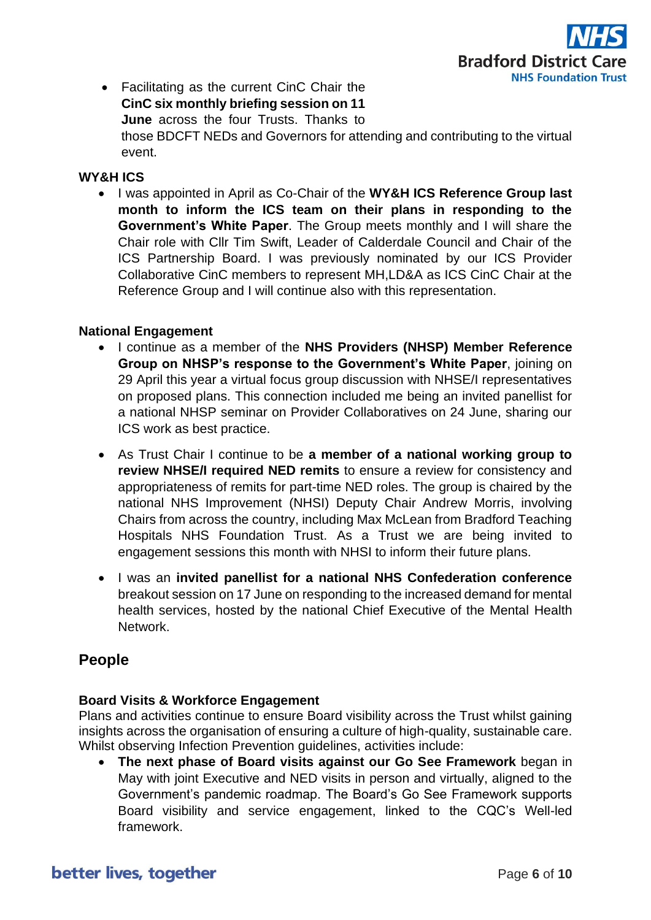

• Facilitating as the current CinC Chair the **CinC six monthly briefing session on 11 June** across the four Trusts. Thanks to those BDCFT NEDs and Governors for attending and contributing to the virtual event.

### **WY&H ICS**

• I was appointed in April as Co-Chair of the **WY&H ICS Reference Group last month to inform the ICS team on their plans in responding to the Government's White Paper**. The Group meets monthly and I will share the Chair role with Cllr Tim Swift, Leader of Calderdale Council and Chair of the ICS Partnership Board. I was previously nominated by our ICS Provider Collaborative CinC members to represent MH,LD&A as ICS CinC Chair at the Reference Group and I will continue also with this representation.

#### **National Engagement**

- I continue as a member of the **NHS Providers (NHSP) Member Reference Group on NHSP's response to the Government's White Paper**, joining on 29 April this year a virtual focus group discussion with NHSE/I representatives on proposed plans. This connection included me being an invited panellist for a national NHSP seminar on Provider Collaboratives on 24 June, sharing our ICS work as best practice.
- As Trust Chair I continue to be **a member of a national working group to review NHSE/I required NED remits** to ensure a review for consistency and appropriateness of remits for part-time NED roles. The group is chaired by the national NHS Improvement (NHSI) Deputy Chair Andrew Morris, involving Chairs from across the country, including Max McLean from Bradford Teaching Hospitals NHS Foundation Trust. As a Trust we are being invited to engagement sessions this month with NHSI to inform their future plans.
- I was an **invited panellist for a national NHS Confederation conference** breakout session on 17 June on responding to the increased demand for mental health services, hosted by the national Chief Executive of the Mental Health Network.

## **People**

### **Board Visits & Workforce Engagement**

Plans and activities continue to ensure Board visibility across the Trust whilst gaining insights across the organisation of ensuring a culture of high-quality, sustainable care. Whilst observing Infection Prevention guidelines, activities include:

• **The next phase of Board visits against our Go See Framework** began in May with joint Executive and NED visits in person and virtually, aligned to the Government's pandemic roadmap. The Board's Go See Framework supports Board visibility and service engagement, linked to the CQC's Well-led framework.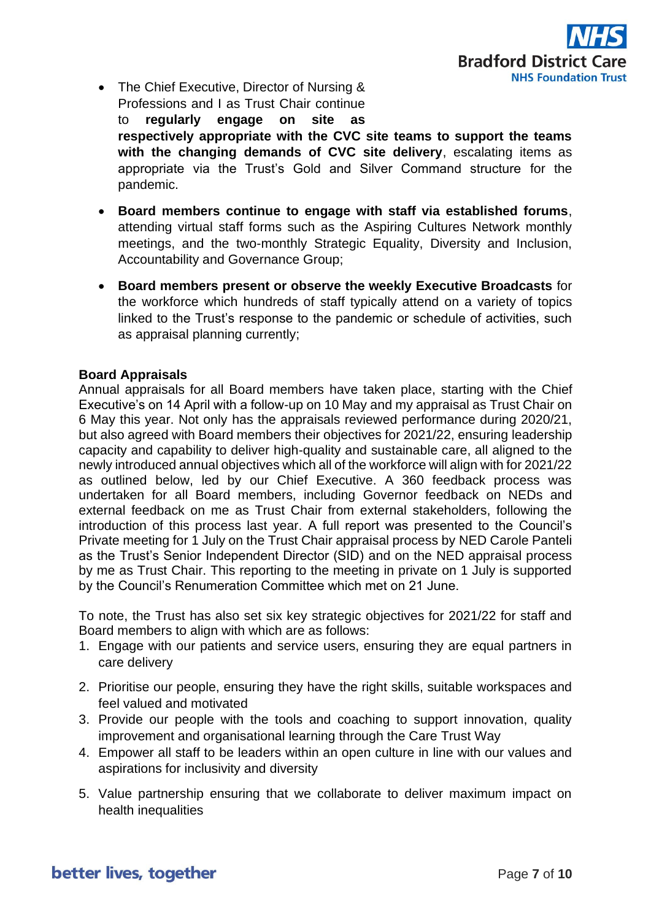

- The Chief Executive, Director of Nursing & Professions and I as Trust Chair continue to **regularly engage on site as respectively appropriate with the CVC site teams to support the teams with the changing demands of CVC site delivery**, escalating items as appropriate via the Trust's Gold and Silver Command structure for the pandemic.
- **Board members continue to engage with staff via established forums**, attending virtual staff forms such as the Aspiring Cultures Network monthly meetings, and the two-monthly Strategic Equality, Diversity and Inclusion, Accountability and Governance Group;
- **Board members present or observe the weekly Executive Broadcasts** for the workforce which hundreds of staff typically attend on a variety of topics linked to the Trust's response to the pandemic or schedule of activities, such as appraisal planning currently;

### **Board Appraisals**

Annual appraisals for all Board members have taken place, starting with the Chief Executive's on 14 April with a follow-up on 10 May and my appraisal as Trust Chair on 6 May this year. Not only has the appraisals reviewed performance during 2020/21, but also agreed with Board members their objectives for 2021/22, ensuring leadership capacity and capability to deliver high-quality and sustainable care, all aligned to the newly introduced annual objectives which all of the workforce will align with for 2021/22 as outlined below, led by our Chief Executive. A 360 feedback process was undertaken for all Board members, including Governor feedback on NEDs and external feedback on me as Trust Chair from external stakeholders, following the introduction of this process last year. A full report was presented to the Council's Private meeting for 1 July on the Trust Chair appraisal process by NED Carole Panteli as the Trust's Senior Independent Director (SID) and on the NED appraisal process by me as Trust Chair. This reporting to the meeting in private on 1 July is supported by the Council's Renumeration Committee which met on 21 June.

To note, the Trust has also set six key strategic objectives for 2021/22 for staff and Board members to align with which are as follows:

- 1. Engage with our patients and service users, ensuring they are equal partners in care delivery
- 2. Prioritise our people, ensuring they have the right skills, suitable workspaces and feel valued and motivated
- 3. Provide our people with the tools and coaching to support innovation, quality improvement and organisational learning through the Care Trust Way
- 4. Empower all staff to be leaders within an open culture in line with our values and aspirations for inclusivity and diversity
- 5. Value partnership ensuring that we collaborate to deliver maximum impact on health inequalities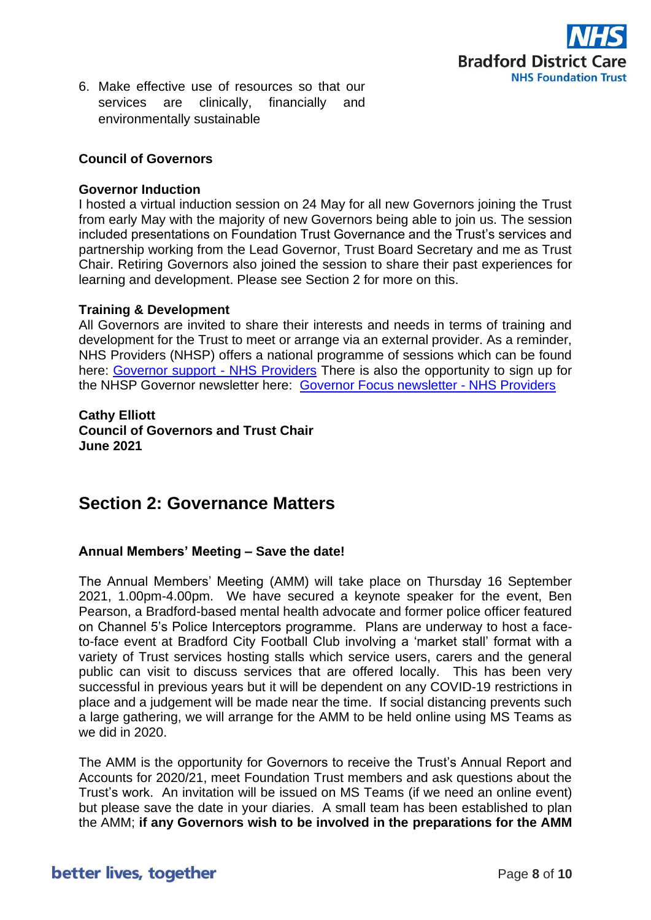

6. Make effective use of resources so that our services are clinically, financially and environmentally sustainable

#### **Council of Governors**

#### **Governor Induction**

I hosted a virtual induction session on 24 May for all new Governors joining the Trust from early May with the majority of new Governors being able to join us. The session included presentations on Foundation Trust Governance and the Trust's services and partnership working from the Lead Governor, Trust Board Secretary and me as Trust Chair. Retiring Governors also joined the session to share their past experiences for learning and development. Please see Section 2 for more on this.

#### **Training & Development**

All Governors are invited to share their interests and needs in terms of training and development for the Trust to meet or arrange via an external provider. As a reminder, NHS Providers (NHSP) offers a national programme of sessions which can be found here: [Governor support -](https://nhsproviders.org/training-events/governor-support) NHS Providers There is also the opportunity to sign up for the NHSP Governor newsletter here: [Governor Focus newsletter -](https://nhsproviders.org/training-events/governor-support/support-and-guidance/helpful-resources/governor-focus-newsletter) NHS Providers

#### **Cathy Elliott**

**Council of Governors and Trust Chair June 2021**

# **Section 2: Governance Matters**

#### **Annual Members' Meeting – Save the date!**

The Annual Members' Meeting (AMM) will take place on Thursday 16 September 2021, 1.00pm-4.00pm. We have secured a keynote speaker for the event, Ben Pearson, a Bradford-based mental health advocate and former police officer featured on Channel 5's Police Interceptors programme. Plans are underway to host a faceto-face event at Bradford City Football Club involving a 'market stall' format with a variety of Trust services hosting stalls which service users, carers and the general public can visit to discuss services that are offered locally. This has been very successful in previous years but it will be dependent on any COVID-19 restrictions in place and a judgement will be made near the time. If social distancing prevents such a large gathering, we will arrange for the AMM to be held online using MS Teams as we did in 2020.

The AMM is the opportunity for Governors to receive the Trust's Annual Report and Accounts for 2020/21, meet Foundation Trust members and ask questions about the Trust's work. An invitation will be issued on MS Teams (if we need an online event) but please save the date in your diaries. A small team has been established to plan the AMM; **if any Governors wish to be involved in the preparations for the AMM**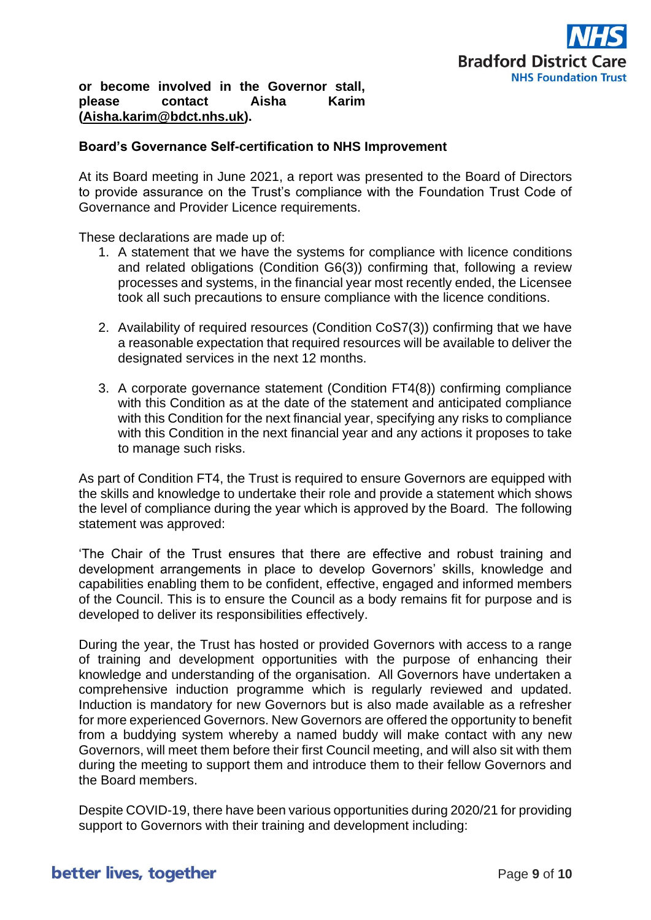### **or become involved in the Governor stall, please contact Aisha Karim [\(Aisha.karim@bdct.nhs.uk\)](mailto:Aisha.karim@bdct.nhs.uk).**

#### **Board's Governance Self-certification to NHS Improvement**

At its Board meeting in June 2021, a report was presented to the Board of Directors to provide assurance on the Trust's compliance with the Foundation Trust Code of Governance and Provider Licence requirements.

These declarations are made up of:

- 1. A statement that we have the systems for compliance with licence conditions and related obligations (Condition G6(3)) confirming that, following a review processes and systems, in the financial year most recently ended, the Licensee took all such precautions to ensure compliance with the licence conditions.
- 2. Availability of required resources (Condition CoS7(3)) confirming that we have a reasonable expectation that required resources will be available to deliver the designated services in the next 12 months.
- 3. A corporate governance statement (Condition FT4(8)) confirming compliance with this Condition as at the date of the statement and anticipated compliance with this Condition for the next financial year, specifying any risks to compliance with this Condition in the next financial year and any actions it proposes to take to manage such risks.

As part of Condition FT4, the Trust is required to ensure Governors are equipped with the skills and knowledge to undertake their role and provide a statement which shows the level of compliance during the year which is approved by the Board. The following statement was approved:

'The Chair of the Trust ensures that there are effective and robust training and development arrangements in place to develop Governors' skills, knowledge and capabilities enabling them to be confident, effective, engaged and informed members of the Council. This is to ensure the Council as a body remains fit for purpose and is developed to deliver its responsibilities effectively.

During the year, the Trust has hosted or provided Governors with access to a range of training and development opportunities with the purpose of enhancing their knowledge and understanding of the organisation. All Governors have undertaken a comprehensive induction programme which is regularly reviewed and updated. Induction is mandatory for new Governors but is also made available as a refresher for more experienced Governors. New Governors are offered the opportunity to benefit from a buddying system whereby a named buddy will make contact with any new Governors, will meet them before their first Council meeting, and will also sit with them during the meeting to support them and introduce them to their fellow Governors and the Board members.

Despite COVID-19, there have been various opportunities during 2020/21 for providing support to Governors with their training and development including: